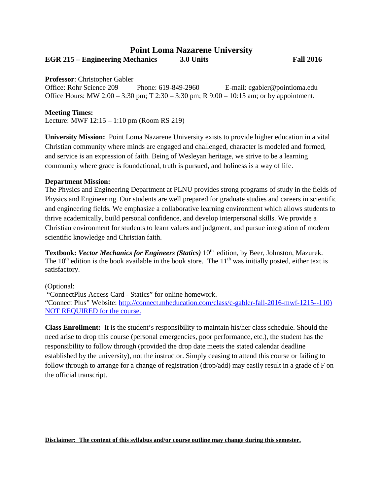# **Point Loma Nazarene University EGR 215 – Engineering Mechanics 3.0 Units Fall 2016**

**Professor**: Christopher Gabler

Office: Rohr Science 209 Phone: 619-849-2960 E-mail: cgabler@pointloma.edu Office Hours: MW 2:00 – 3:30 pm; T 2:30 – 3:30 pm; R 9:00 – 10:15 am; or by appointment.

## **Meeting Times:**

Lecture: MWF 12:15 – 1:10 pm (Room RS 219)

**University Mission:** Point Loma Nazarene University exists to provide higher education in a vital Christian community where minds are engaged and challenged, character is modeled and formed, and service is an expression of faith. Being of Wesleyan heritage, we strive to be a learning community where grace is foundational, truth is pursued, and holiness is a way of life.

### **Department Mission:**

The Physics and Engineering Department at PLNU provides strong programs of study in the fields of Physics and Engineering. Our students are well prepared for graduate studies and careers in scientific and engineering fields. We emphasize a collaborative learning environment which allows students to thrive academically, build personal confidence, and develop interpersonal skills. We provide a Christian environment for students to learn values and judgment, and pursue integration of modern scientific knowledge and Christian faith.

Textbook: Vector Mechanics for Engineers (Statics) 10<sup>th</sup> edition, by Beer, Johnston, Mazurek. The  $10<sup>th</sup>$  edition is the book available in the book store. The  $11<sup>th</sup>$  was initially posted, either text is satisfactory.

(Optional:

"ConnectPlus Access Card - Statics" for online homework.

"Connect Plus" Website: [http://connect.mheducation.com/class/c-gabler-fall-2016-mwf-1215--110\)](http://connect.mheducation.com/class/c-gabler-fall-2016-mwf-1215--110) NOT REQUIRED for the course.

**Class Enrollment:** It is the student's responsibility to maintain his/her class schedule. Should the need arise to drop this course (personal emergencies, poor performance, etc.), the student has the responsibility to follow through (provided the drop date meets the stated calendar deadline established by the university), not the instructor. Simply ceasing to attend this course or failing to follow through to arrange for a change of registration (drop/add) may easily result in a grade of F on the official transcript.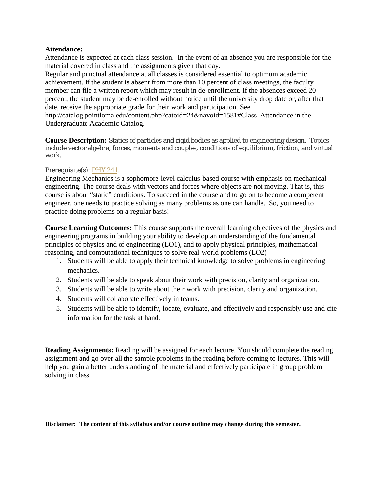## **Attendance:**

Attendance is expected at each class session. In the event of an absence you are responsible for the material covered in class and the assignments given that day.

Regular and punctual attendance at all classes is considered essential to optimum academic achievement. If the student is absent from more than 10 percent of class meetings, the faculty member can file a written report which may result in de-enrollment. If the absences exceed 20 percent, the student may be de-enrolled without notice until the university drop date or, after that date, receive the appropriate grade for their work and participation. See

http://catalog.pointloma.edu/content.php?catoid=24&navoid=1581#Class\_Attendance in the Undergraduate Academic Catalog.

**Course Description:** Statics of particles and rigid bodies as applied to engineering design. Topics include vector algebra, forces, moments and couples, conditions of equilibrium, friction, and virtual work.

Prerequisite(s): [PHY 241.](http://catalog.pointloma.edu/content.php?filter%5B27%5D=EGR&filter%5B29%5D=215&filter%5Bcourse_type%5D=-1&filter%5Bkeyword%5D=&filter%5B32%5D=1&filter%5Bcpage%5D=1&cur_cat_oid=24&expand=&navoid=1590&search_database=Filter#tt109)

Engineering Mechanics is a sophomore-level calculus-based course with emphasis on mechanical engineering. The course deals with vectors and forces where objects are not moving. That is, this course is about "static" conditions. To succeed in the course and to go on to become a competent engineer, one needs to practice solving as many problems as one can handle. So, you need to practice doing problems on a regular basis!

**Course Learning Outcomes:** This course supports the overall learning objectives of the physics and engineering programs in building your ability to develop an understanding of the fundamental principles of physics and of engineering (LO1), and to apply physical principles, mathematical reasoning, and computational techniques to solve real-world problems (LO2)

- 1. Students will be able to apply their technical knowledge to solve problems in engineering mechanics.
- 2. Students will be able to speak about their work with precision, clarity and organization.
- 3. Students will be able to write about their work with precision, clarity and organization.
- 4. Students will collaborate effectively in teams.
- 5. Students will be able to identify, locate, evaluate, and effectively and responsibly use and cite information for the task at hand.

**Reading Assignments:** Reading will be assigned for each lecture. You should complete the reading assignment and go over all the sample problems in the reading before coming to lectures. This will help you gain a better understanding of the material and effectively participate in group problem solving in class.

**Disclaimer: The content of this syllabus and/or course outline may change during this semester.**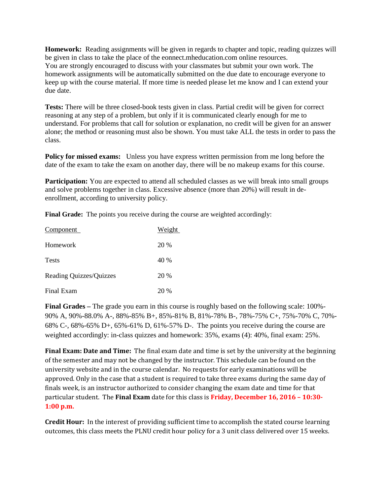**Homework:** Reading assignments will be given in regards to chapter and topic, reading quizzes will be given in class to take the place of the eonnect.mheducation.com online resources. You are strongly encouraged to discuss with your classmates but submit your own work. The homework assignments will be automatically submitted on the due date to encourage everyone to keep up with the course material. If more time is needed please let me know and I can extend your due date.

**Tests:** There will be three closed-book tests given in class. Partial credit will be given for correct reasoning at any step of a problem, but only if it is communicated clearly enough for me to understand. For problems that call for solution or explanation, no credit will be given for an answer alone; the method or reasoning must also be shown. You must take ALL the tests in order to pass the class.

**Policy for missed exams:** Unless you have express written permission from me long before the date of the exam to take the exam on another day, there will be no makeup exams for this course.

**Participation:** You are expected to attend all scheduled classes as we will break into small groups and solve problems together in class. Excessive absence (more than 20%) will result in deenrollment, according to university policy.

**Final Grade:** The points you receive during the course are weighted accordingly:

| Component               | Weight |
|-------------------------|--------|
| Homework                | 20 %   |
| <b>Tests</b>            | 40 %   |
| Reading Quizzes/Quizzes | 20 %   |
| Final Exam              | 20%    |

**Final Grades –** The grade you earn in this course is roughly based on the following scale: 100%- 90% A, 90%-88.0% A-, 88%-85% B+, 85%-81% B, 81%-78% B-, 78%-75% C+, 75%-70% C, 70%- 68% C-, 68%-65% D+, 65%-61% D, 61%-57% D-. The points you receive during the course are weighted accordingly: in-class quizzes and homework: 35%, exams (4): 40%, final exam: 25%.

**Final Exam: Date and Time:** The final exam date and time is set by the university at the beginning of the semester and may not be changed by the instructor. This schedule can be found on the university website and in the course calendar. No requests for early examinations will be approved. Only in the case that a student is required to take three exams during the same day of finals week, is an instructor authorized to consider changing the exam date and time for that particular student.The **Final Exam** date for this class is **Friday, December 16, 2016 – 10:30- 1:00 p.m.**

**Credit Hour:** In the interest of providing sufficient time to accomplish the stated course learning outcomes, this class meets the PLNU credit hour policy for a 3 unit class delivered over 15 weeks.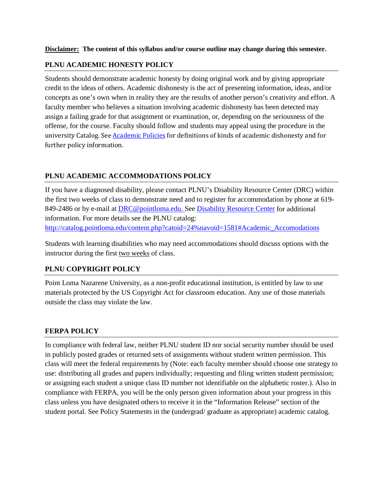## **Disclaimer: The content of this syllabus and/or course outline may change during this semester.**

## **PLNU ACADEMIC HONESTY POLICY**

Students should demonstrate academic honesty by doing original work and by giving appropriate credit to the ideas of others. Academic dishonesty is the act of presenting information, ideas, and/or concepts as one's own when in reality they are the results of another person's creativity and effort. A faculty member who believes a situation involving academic dishonesty has been detected may assign a failing grade for that assignment or examination, or, depending on the seriousness of the offense, for the course. Faculty should follow and students may appeal using the procedure in the university Catalog. Se[e Academic Policies](http://catalog.pointloma.edu/content.php?catoid=18&navoid=1278) for definitions of kinds of academic dishonesty and for further policy information.

# **PLNU ACADEMIC ACCOMMODATIONS POLICY**

If you have a diagnosed disability, please contact PLNU's Disability Resource Center (DRC) within the first two weeks of class to demonstrate need and to register for accommodation by phone at 619- 849-2486 or by e-mail at [DRC@pointloma.edu.](mailto:DRC@pointloma.edu) See [Disability Resource Center](http://www.pointloma.edu/experience/offices/administrative-offices/academic-advising-office/disability-resource-center) for additional information. For more details see the PLNU catalog: [http://catalog.pointloma.edu/content.php?catoid=24%navoid=1581#Academic\\_Accomodations](http://catalog.pointloma.edu/content.php?catoid=24%25navoid=1581#Academic_Accomodations)

Students with learning disabilities who may need accommodations should discuss options with the instructor during the first two weeks of class.

## **PLNU COPYRIGHT POLICY**

Point Loma Nazarene University, as a non-profit educational institution, is entitled by law to use materials protected by the US Copyright Act for classroom education. Any use of those materials outside the class may violate the law.

## **FERPA POLICY**

In compliance with federal law, neither PLNU student ID nor social security number should be used in publicly posted grades or returned sets of assignments without student written permission. This class will meet the federal requirements by (Note: each faculty member should choose one strategy to use: distributing all grades and papers individually; requesting and filing written student permission; or assigning each student a unique class ID number not identifiable on the alphabetic roster.). Also in compliance with FERPA, you will be the only person given information about your progress in this class unless you have designated others to receive it in the "Information Release" section of the student portal. See Policy Statements in the (undergrad/ graduate as appropriate) academic catalog.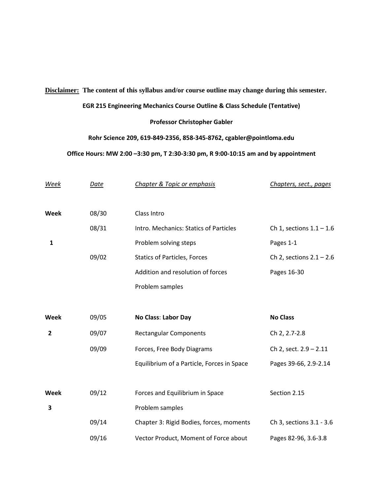## **Disclaimer: The content of this syllabus and/or course outline may change during this semester.**

#### **EGR 215 Engineering Mechanics Course Outline & Class Schedule (Tentative)**

## **Professor Christopher Gabler**

## **Rohr Science 209, 619-849-2356, 858-345-8762, cgabler@pointloma.edu**

#### **Office Hours: MW 2:00 –3:30 pm, T 2:30-3:30 pm, R 9:00-10:15 am and by appointment**

| Week         | Date  | Chapter & Topic or emphasis                | Chapters, sect., pages     |
|--------------|-------|--------------------------------------------|----------------------------|
| Week         | 08/30 | Class Intro                                |                            |
|              | 08/31 | Intro. Mechanics: Statics of Particles     | Ch 1, sections $1.1 - 1.6$ |
| $\mathbf{1}$ |       | Problem solving steps                      | Pages 1-1                  |
|              | 09/02 | <b>Statics of Particles, Forces</b>        | Ch 2, sections $2.1 - 2.6$ |
|              |       | Addition and resolution of forces          | Pages 16-30                |
|              |       | Problem samples                            |                            |
|              |       |                                            |                            |
|              |       |                                            |                            |
| Week         | 09/05 | <b>No Class: Labor Day</b>                 | <b>No Class</b>            |
| $\mathbf{2}$ | 09/07 | <b>Rectangular Components</b>              | Ch 2, 2.7-2.8              |
|              | 09/09 | Forces, Free Body Diagrams                 | Ch 2, sect. 2.9 - 2.11     |
|              |       | Equilibrium of a Particle, Forces in Space | Pages 39-66, 2.9-2.14      |
|              |       |                                            |                            |
| Week         | 09/12 | Forces and Equilibrium in Space            | Section 2.15               |
| 3            |       | Problem samples                            |                            |
|              | 09/14 | Chapter 3: Rigid Bodies, forces, moments   | Ch 3, sections 3.1 - 3.6   |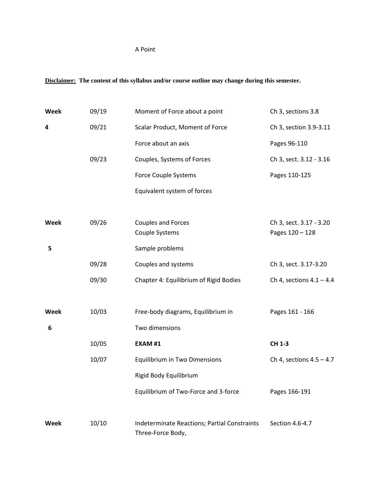# A Point

# **Disclaimer: The content of this syllabus and/or course outline may change during this semester.**

| Week | 09/19 | Moment of Force about a point                | Ch 3, sections 3.8                         |
|------|-------|----------------------------------------------|--------------------------------------------|
| 4    | 09/21 | Scalar Product, Moment of Force              | Ch 3, section 3.9-3.11                     |
|      |       | Force about an axis                          | Pages 96-110                               |
|      | 09/23 | Couples, Systems of Forces                   | Ch 3, sect. 3.12 - 3.16                    |
|      |       | Force Couple Systems                         | Pages 110-125                              |
|      |       | Equivalent system of forces                  |                                            |
|      |       |                                              |                                            |
| Week | 09/26 | <b>Couples and Forces</b><br>Couple Systems  | Ch 3, sect. 3.17 - 3.20<br>Pages 120 - 128 |
| 5    |       | Sample problems                              |                                            |
|      | 09/28 | Couples and systems                          | Ch 3, sect. 3.17-3.20                      |
|      | 09/30 | Chapter 4: Equilibrium of Rigid Bodies       | Ch 4, sections $4.1 - 4.4$                 |
|      |       |                                              |                                            |
| Week | 10/03 | Free-body diagrams, Equilibrium in           | Pages 161 - 166                            |
| 6    |       | Two dimensions                               |                                            |
|      | 10/05 | <b>EXAM#1</b>                                | CH 1-3                                     |
|      | 10/07 | <b>Equilibrium in Two Dimensions</b>         | Ch 4, sections $4.5 - 4.7$                 |
|      |       | Rigid Body Equilibrium                       |                                            |
|      |       | Equilibrium of Two-Force and 3-force         | Pages 166-191                              |
| Week | 10/10 | Indeterminate Reactions; Partial Constraints | Section 4.6-4.7                            |
|      |       | Three-Force Body,                            |                                            |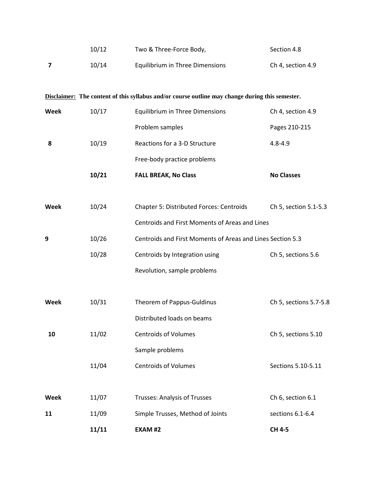|             | 10/12 | Two & Three-Force Body,                                                                         | Section 4.8            |  |
|-------------|-------|-------------------------------------------------------------------------------------------------|------------------------|--|
| 7           | 10/14 | Equilibrium in Three Dimensions                                                                 | Ch 4, section 4.9      |  |
|             |       | Disclaimer: The content of this syllabus and/or course outline may change during this semester. |                        |  |
| <b>Week</b> | 10/17 | <b>Equilibrium in Three Dimensions</b>                                                          | Ch 4, section 4.9      |  |
|             |       | Problem samples                                                                                 | Pages 210-215          |  |
| 8           | 10/19 | Reactions for a 3-D Structure                                                                   | $4.8 - 4.9$            |  |
|             |       | Free-body practice problems                                                                     |                        |  |
|             | 10/21 | <b>FALL BREAK, No Class</b>                                                                     | <b>No Classes</b>      |  |
|             |       |                                                                                                 |                        |  |
| Week        | 10/24 | Chapter 5: Distributed Forces: Centroids                                                        | Ch 5, section 5.1-5.3  |  |
|             |       | Centroids and First Moments of Areas and Lines                                                  |                        |  |
| 9           | 10/26 | Centroids and First Moments of Areas and Lines Section 5.3                                      |                        |  |
|             | 10/28 | Centroids by Integration using                                                                  | Ch 5, sections 5.6     |  |
|             |       | Revolution, sample problems                                                                     |                        |  |
|             |       |                                                                                                 |                        |  |
| Week        | 10/31 | Theorem of Pappus-Guldinus                                                                      | Ch 5, sections 5.7-5.8 |  |
|             |       | Distributed loads on beams                                                                      |                        |  |
| 10          | 11/02 | <b>Centroids of Volumes</b>                                                                     | Ch 5, sections 5.10    |  |
|             |       | Sample problems                                                                                 |                        |  |
|             | 11/04 | <b>Centroids of Volumes</b>                                                                     | Sections 5.10-5.11     |  |
|             |       |                                                                                                 |                        |  |
| Week        | 11/07 | <b>Trusses: Analysis of Trusses</b>                                                             | Ch 6, section 6.1      |  |
| 11          | 11/09 | Simple Trusses, Method of Joints                                                                | sections 6.1-6.4       |  |
|             | 11/11 | <b>EXAM #2</b>                                                                                  | CH 4-5                 |  |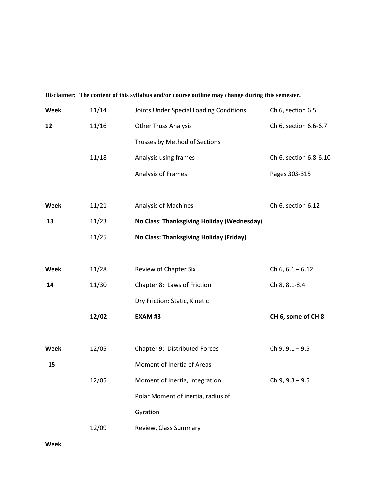|      |       | <u>Disclanner:</u> The content of this synabus and/or course outline may change during this semester. |                        |
|------|-------|-------------------------------------------------------------------------------------------------------|------------------------|
| Week | 11/14 | Joints Under Special Loading Conditions                                                               | Ch 6, section 6.5      |
| 12   | 11/16 | <b>Other Truss Analysis</b>                                                                           | Ch 6, section 6.6-6.7  |
|      |       | Trusses by Method of Sections                                                                         |                        |
|      | 11/18 | Analysis using frames                                                                                 | Ch 6, section 6.8-6.10 |
|      |       | Analysis of Frames                                                                                    | Pages 303-315          |
|      |       |                                                                                                       |                        |
| Week | 11/21 | Analysis of Machines                                                                                  | Ch 6, section 6.12     |
| 13   | 11/23 | No Class: Thanksgiving Holiday (Wednesday)                                                            |                        |
|      | 11/25 | No Class: Thanksgiving Holiday (Friday)                                                               |                        |
|      |       |                                                                                                       |                        |
| Week | 11/28 | Review of Chapter Six                                                                                 | Ch $6, 6.1 - 6.12$     |
| 14   | 11/30 | Chapter 8: Laws of Friction                                                                           | Ch 8, 8.1-8.4          |
|      |       | Dry Friction: Static, Kinetic                                                                         |                        |
|      | 12/02 | EXAM#3                                                                                                | CH 6, some of CH 8     |
|      |       |                                                                                                       |                        |
| Week | 12/05 | Chapter 9: Distributed Forces                                                                         | Ch $9, 9.1 - 9.5$      |
| 15   |       | Moment of Inertia of Areas                                                                            |                        |
|      | 12/05 | Moment of Inertia, Integration                                                                        | Ch $9, 9.3 - 9.5$      |
|      |       | Polar Moment of inertia, radius of                                                                    |                        |
|      |       | Gyration                                                                                              |                        |
|      | 12/09 | Review, Class Summary                                                                                 |                        |
|      |       |                                                                                                       |                        |

**Disclaimer: The content of this syllabus and/or course outline may change during this semester.**

**Week**